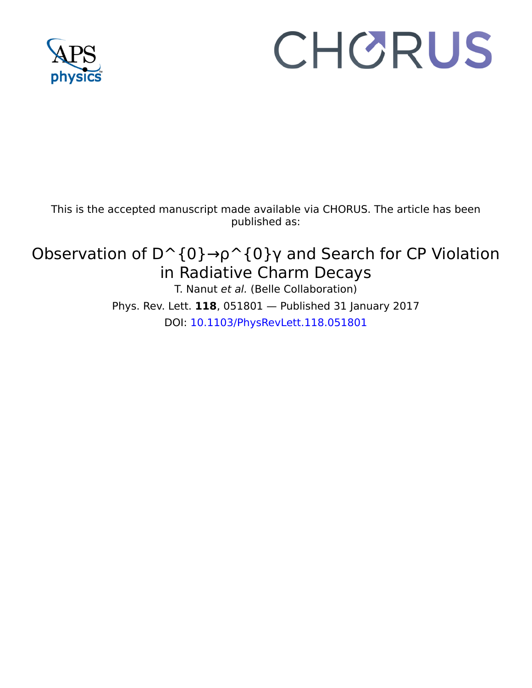

## CHORUS

This is the accepted manuscript made available via CHORUS. The article has been published as:

## Observation of  $D^{\wedge}$  {0}  $\rightarrow$   $\rho^{\wedge}$  {0}  $\gamma$  and Search for CP Violation in Radiative Charm Decays

T. Nanut et al. (Belle Collaboration) Phys. Rev. Lett. **118**, 051801 — Published 31 January 2017 DOI: [10.1103/PhysRevLett.118.051801](http://dx.doi.org/10.1103/PhysRevLett.118.051801)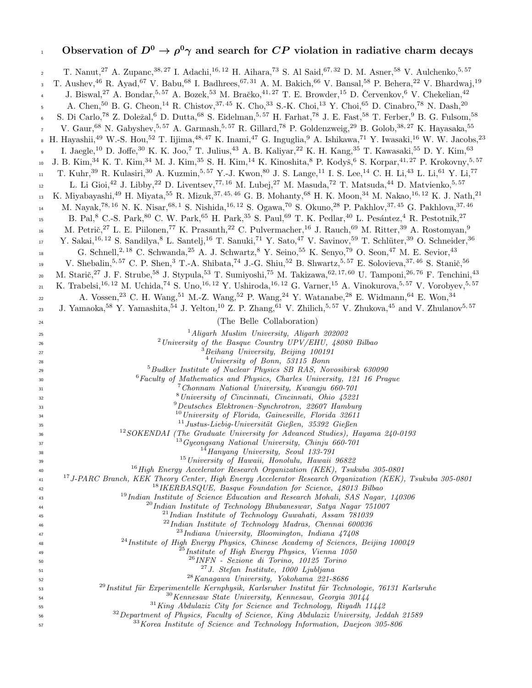## 0bservation of  $D^0 \to \rho^0 \gamma$  and search for  $CP$  violation in radiative charm decays

| $\overline{a}$   | T. Nanut, <sup>27</sup> A. Zupanc, <sup>38,27</sup> I. Adachi, <sup>16,12</sup> H. Aihara, <sup>73</sup> S. Al Said, <sup>67,32</sup> D. M. Asner, <sup>58</sup> V. Aulchenko, <sup>5,57</sup>                                |
|------------------|-------------------------------------------------------------------------------------------------------------------------------------------------------------------------------------------------------------------------------|
| 3                | T. Aushev, <sup>46</sup> R. Ayad, <sup>67</sup> V. Babu, <sup>68</sup> I. Badhrees, <sup>67,31</sup> A. M. Bakich, <sup>66</sup> V. Bansal, <sup>58</sup> P. Behera, <sup>22</sup> V. Bhardwaj, <sup>19</sup>                 |
|                  | J. Biswal, <sup>27</sup> A. Bondar, <sup>5,57</sup> A. Bozek, <sup>53</sup> M. Bračko, <sup>41,27</sup> T. E. Browder, <sup>15</sup> D. Červenkov, <sup>6</sup> V. Chekelian, <sup>42</sup>                                   |
| 5                | A. Chen, $^{50}$ B. G. Cheon, $^{14}$ R. Chistov, $^{37,45}$ K. Cho, $^{33}$ S.-K. Choi, $^{13}$ Y. Choi, $^{65}$ D. Cinabro, $^{78}$ N. Dash, $^{20}$                                                                        |
| $\boldsymbol{6}$ | S. Di Carlo, <sup>78</sup> Z. Doležal, <sup>6</sup> D. Dutta, <sup>68</sup> S. Eidelman, <sup>5,57</sup> H. Farhat, <sup>78</sup> J. E. Fast, <sup>58</sup> T. Ferber, <sup>9</sup> B. G. Fulsom, <sup>58</sup>               |
| $\overline{7}$   | V. Gaur, 68 N. Gabyshev, 5,57 A. Garmash, 5,57 R. Gillard, 78 P. Goldenzweig, <sup>29</sup> B. Golob, <sup>38, 27</sup> K. Hayasaka, <sup>55</sup>                                                                            |
|                  | . H. Hayashii, <sup>49</sup> W.-S. Hou, <sup>52</sup> T. Iijima, <sup>48,47</sup> K. Inami, <sup>47</sup> G. Inguglia, <sup>9</sup> A. Ishikawa, <sup>71</sup> Y. Iwasaki, <sup>16</sup> W. W. Jacobs, <sup>23</sup>          |
|                  |                                                                                                                                                                                                                               |
| $\mathsf g$      | I. Jaegle, <sup>10</sup> D. Joffe, <sup>30</sup> K. K. Joo, <sup>7</sup> T. Julius, <sup>43</sup> A. B. Kaliyar, <sup>22</sup> K. H. Kang, <sup>35</sup> T. Kawasaki, <sup>55</sup> D. Y. Kim, <sup>63</sup>                  |
| 10               | J. B. Kim, $34$ K. T. Kim, $34$ M. J. Kim, $35$ S. H. Kim, $14$ K. Kinoshita, $8$ P. Kodyš, $6$ S. Korpar, $41,27$ P. Krokovny, $5,57$                                                                                        |
| $11\,$           | T. Kuhr, <sup>39</sup> R. Kulasiri, <sup>30</sup> A. Kuzmin, <sup>5, 57</sup> Y.-J. Kwon, <sup>80</sup> J. S. Lange, <sup>11</sup> I. S. Lee, <sup>14</sup> C. H. Li, <sup>43</sup> L. Li, <sup>61</sup> Y. Li, <sup>77</sup> |
| 12               | L. Li Gioi, <sup>42</sup> J. Libby, <sup>22</sup> D. Liventsev, <sup>77, 16</sup> M. Lubej, <sup>27</sup> M. Masuda, <sup>72</sup> T. Matsuda, <sup>44</sup> D. Matvienko, <sup>5,57</sup>                                    |
| 13               | K. Miyabayashi, <sup>49</sup> H. Miyata, <sup>55</sup> R. Mizuk, <sup>37,45,46</sup> G. B. Mohanty, <sup>68</sup> H. K. Moon, <sup>34</sup> M. Nakao, <sup>16,12</sup> K. J. Nath, <sup>21</sup>                              |
| 14               | M. Nayak, <sup>78, 16</sup> N. K. Nisar, <sup>68, 1</sup> S. Nishida, <sup>16, 12</sup> S. Ogawa, <sup>70</sup> S. Okuno, <sup>28</sup> P. Pakhlov, <sup>37, 45</sup> G. Pakhlova, <sup>37, 46</sup>                          |
| 15               | B. Pal, <sup>8</sup> C.-S. Park, <sup>80</sup> C. W. Park, <sup>65</sup> H. Park, <sup>35</sup> S. Paul, <sup>69</sup> T. K. Pedlar, <sup>40</sup> L. Pesántez, <sup>4</sup> R. Pestotnik, <sup>27</sup>                      |
| 16               | M. Petrič, <sup>27</sup> L. E. Piilonen, <sup>77</sup> K. Prasanth, <sup>22</sup> C. Pulvermacher, <sup>16</sup> J. Rauch, <sup>69</sup> M. Ritter, <sup>39</sup> A. Rostomyan, <sup>9</sup>                                  |
| $17\,$           | Y. Sakai, <sup>16, 12</sup> S. Sandilya, <sup>8</sup> L. Santelj, <sup>16</sup> T. Sanuki, <sup>71</sup> Y. Sato, <sup>47</sup> V. Savinov, <sup>59</sup> T. Schlüter, <sup>39</sup> O. Schneider, <sup>36</sup>              |
| 18               | G. Schnell, <sup>2, 18</sup> C. Schwanda, <sup>25</sup> A. J. Schwartz, <sup>8</sup> Y. Seino, <sup>55</sup> K. Senyo, <sup>79</sup> O. Seon, <sup>47</sup> M. E. Sevior, <sup>43</sup>                                       |
| 19               | V. Shebalin, 5,57 C. P. Shen, 3 T.-A. Shibata, 74 J.-G. Shiu, 52 B. Shwartz, 5,57 E. Solovieva, 37, 46 S. Stanič, 56                                                                                                          |
| $20\,$           | M. Starič, <sup>27</sup> J. F. Strube, <sup>58</sup> J. Stypula, <sup>53</sup> T. Sumiyoshi, <sup>75</sup> M. Takizawa, <sup>62,17,60</sup> U. Tamponi, <sup>26,76</sup> F. Tenchini, <sup>43</sup>                           |
|                  | K. Trabelsi, <sup>16, 12</sup> M. Uchida, <sup>74</sup> S. Uno, <sup>16, 12</sup> Y. Ushiroda, <sup>16, 12</sup> G. Varner, <sup>15</sup> A. Vinokurova, <sup>5, 57</sup> V. Vorobyev, <sup>5, 57</sup>                       |
| 21               | A. Vossen, $^{23}$ C. H. Wang, $^{51}$ M.-Z. Wang, $^{52}$ P. Wang, $^{24}$ Y. Watanabe, $^{28}$ E. Widmann, $^{64}$ E. Won, $^{34}$                                                                                          |
| $22\,$           | J. Yamaoka, 58 Y. Yamashita, 54 J. Yelton, <sup>10</sup> Z. P. Zhang, <sup>61</sup> V. Zhilich, <sup>5, 57</sup> V. Zhukova, <sup>45</sup> and V. Zhulanov <sup>5, 57</sup>                                                   |
| 23               | (The Belle Collaboration)                                                                                                                                                                                                     |
| 24               |                                                                                                                                                                                                                               |
| 25               | $1$ Aligarh Muslim University, Aligarh 202002<br><sup>2</sup> University of the Basque Country UPV/EHU, $48080$ Bilbao                                                                                                        |
| 26<br>27         | $3$ Beihang University, Beijing 100191                                                                                                                                                                                        |
| 28               | $4$ University of Bonn, 53115 Bonn                                                                                                                                                                                            |
| 29               | $5$ Budker Institute of Nuclear Physics SB RAS, Novosibirsk 630090                                                                                                                                                            |
| 30               | $6$ Faculty of Mathematics and Physics, Charles University, 121 16 Prague                                                                                                                                                     |
| 31               | <sup>7</sup> Chonnam National University, Kwangju 660-701<br><sup>8</sup> University of Cincinnati, Cincinnati, Ohio 45221                                                                                                    |
| 32<br>33         | $9$ Deutsches Elektronen-Synchrotron, 22607 Hamburg                                                                                                                                                                           |
| 34               | $10$ University of Florida, Gainesville, Florida 32611                                                                                                                                                                        |
| 35               | $11$ Justus-Liebig-Universität Gießen, 35392 Gießen                                                                                                                                                                           |
| 36               | $12$ SOKENDAI (The Graduate University for Advanced Studies), Hayama 240-0193                                                                                                                                                 |
| 37               | $13 Gyeongsang National University, Chinju 660-701$                                                                                                                                                                           |
| 38               | $14$ Hanyang University, Seoul 133-791<br><sup>15</sup> University of Hawaii, Honolulu, Hawaii 96822                                                                                                                          |
| 39<br>40         | <sup>16</sup> High Energy Accelerator Research Organization (KEK), Tsukuba 305-0801                                                                                                                                           |
| 41               | <sup>17</sup> J-PARC Branch, KEK Theory Center, High Energy Accelerator Research Organization (KEK), Tsukuba 305-0801                                                                                                         |
| 42               | <sup>18</sup> IKERBASQUE, Basque Foundation for Science, $48013$ Bilbao                                                                                                                                                       |
| 43               | <sup>19</sup> Indian Institute of Science Education and Research Mohali, SAS Nagar, 140306                                                                                                                                    |
| 44               | $^{20}$ Indian Institute of Technology Bhubaneswar, Satya Nagar 751007<br>$^{21}$ Indian Institute of Technology Guwahati, Assam $781039$                                                                                     |
| 45<br>46         | $^{22}$ Indian Institute of Technology Madras, Chennai 600036                                                                                                                                                                 |
| 47               | $^{23}$ Indiana University, Bloomington, Indiana $47408$                                                                                                                                                                      |
| 48               | <sup>24</sup> Institute of High Energy Physics, Chinese Academy of Sciences, Beijing 100049                                                                                                                                   |
| 49               | <sup>25</sup> Institute of High Energy Physics, Vienna 1050                                                                                                                                                                   |
| 50               | $^{26}$ INFN - Sezione di Torino, 10125 Torino                                                                                                                                                                                |
| 51               | $27 J. Stefan Institute, 1000 Ljubljana$<br>$28$ Kanagawa University, Yokohama 221-8686                                                                                                                                       |
| 52<br>53         | <sup>29</sup> Institut für Experimentelle Kernphysik, Karlsruher Institut für Technologie, 76131 Karlsruhe                                                                                                                    |
| 54               | $30$ Kennesaw State University, Kennesaw, Georgia 30144                                                                                                                                                                       |
| 55               | $31$ King Abdulaziz City for Science and Technology, Riyadh 11442                                                                                                                                                             |
| 56               | <sup>32</sup> Department of Physics, Faculty of Science, King Abdulaziz University, Jeddah 21589                                                                                                                              |
| 57               | $33$ Korea Institute of Science and Technology Information, Daejeon $305-806$                                                                                                                                                 |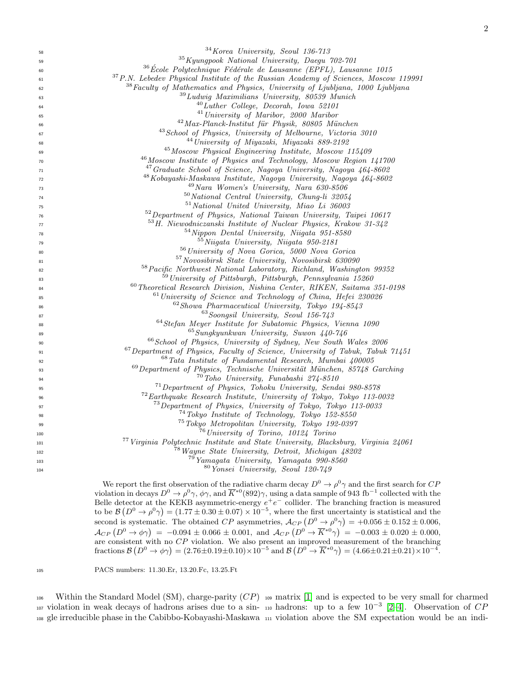| 58  | $34$ Korea University, Seoul 136-713                                                            |
|-----|-------------------------------------------------------------------------------------------------|
| 59  | $35$ Kyungpook National University, Daegu 702-701                                               |
| 60  | $36$ École Polytechnique Fédérale de Lausanne (EPFL), Lausanne 1015                             |
| 61  | <sup>37</sup> P.N. Lebedev Physical Institute of the Russian Academy of Sciences, Moscow 119991 |
| 62  | <sup>38</sup> Faculty of Mathematics and Physics, University of Ljubljana, 1000 Ljubljana       |
| 63  | $39$ Ludwig Maximilians University, 80539 Munich                                                |
| 64  | $^{40}$ Luther College, Decorah, Iowa 52101                                                     |
| 65  | $41$ University of Maribor, 2000 Maribor                                                        |
| 66  | <sup>42</sup> Max-Planck-Institut für Physik, 80805 München                                     |
| 67  | <sup>43</sup> School of Physics, University of Melbourne, Victoria 3010                         |
| 68  | <sup>44</sup> University of Miyazaki, Miyazaki 889-2192                                         |
| 69  | <sup>45</sup> Moscow Physical Engineering Institute, Moscow 115409                              |
| 70  | <sup>46</sup> Moscow Institute of Physics and Technology, Moscow Region 141700                  |
| 71  | <sup>47</sup> Graduate School of Science, Nagoya University, Nagoya 464-8602                    |
| 72  | <sup>48</sup> Kobayashi-Maskawa Institute, Nagoya University, Nagoya 464-8602                   |
| 73  | $49$ Nara Women's University, Nara 630-8506                                                     |
| 74  | $50 National Central University, Chung-li$ 32054                                                |
| 75  | $51$ National United University, Miao Li 36003                                                  |
| 76  | <sup>52</sup> Department of Physics, National Taiwan University, Taipei 10617                   |
| 77  | $53\,H$ . Niewodniczanski Institute of Nuclear Physics, Krakow 31-342                           |
| 78  | <sup>54</sup> Nippon Dental University, Niigata 951-8580                                        |
| 79  | $55\,Niigata$ University, Niigata 950-2181                                                      |
| 80  | <sup>56</sup> University of Nova Gorica, 5000 Nova Gorica                                       |
| 81  | <sup>57</sup> Novosibirsk State University, Novosibirsk 630090                                  |
| 82  | 58 Pacific Northwest National Laboratory, Richland, Washington 99352                            |
| 83  | <sup>59</sup> University of Pittsburgh, Pittsburgh, Pennsylvania 15260                          |
| 84  | $^{60}$ Theoretical Research Division, Nishina Center, RIKEN, Saitama 351-0198                  |
| 85  | $61$ University of Science and Technology of China, Hefei 230026                                |
| 86  | $62$ Showa Pharmaceutical University, Tokyo 194-8543                                            |
| 87  | $63$ Soongsil University, Seoul 156-743                                                         |
| 88  | $64$ Stefan Meyer Institute for Subatomic Physics, Vienna 1090                                  |
| 89  | $65$ Sungkyunkwan University, Suwon 440-746                                                     |
| 90  | <sup>66</sup> School of Physics, University of Sydney, New South Wales 2006                     |
| 91  | $67$ Department of Physics, Faculty of Science, University of Tabuk, Tabuk $71451$              |
| 92  | <sup>68</sup> Tata Institute of Fundamental Research, Mumbai 400005                             |
| 93  | $69$ Department of Physics, Technische Universität München, 85748 Garching                      |
| 94  | $70$ Toho University, Funabashi 274-8510                                                        |
| 95  | <sup>71</sup> Department of Physics, Tohoku University, Sendai 980-8578                         |
| 96  | $72$ Earthquake Research Institute, University of Tokyo, Tokyo 113-0032                         |
| 97  | <sup>73</sup> Department of Physics, University of Tokyo, Tokyo 113-0033                        |
| 98  | $^{74}$ Tokyo Institute of Technology, Tokyo 152-8550                                           |
| 99  | <sup>75</sup> Tokyo Metropolitan University, Tokyo 192-0397                                     |
| 100 | $76$ University of Torino, 10124 Torino                                                         |
| 101 | <sup>77</sup> Virginia Polytechnic Institute and State University, Blacksburg, Virginia 24061   |
| 102 | <sup>78</sup> Wayne State University, Detroit, Michigan 48202                                   |
| 103 | <sup>79</sup> Yamagata University, Yamagata 990-8560                                            |
| 104 | <sup>80</sup> Yonsei University, Seoul 120-749                                                  |
|     |                                                                                                 |

We report the first observation of the radiative charm decay  $D^0 \to \rho^0 \gamma$  and the first search for CF violation in decays  $D^0 \to \rho^0 \gamma$ ,  $\phi \gamma$ , and  $\overline{K}^{*0}(892)\gamma$ , using a data sample of 943 fb<sup>-1</sup> collected with the Belle detector at the KEKB asymmetric-energy  $e^+e^-$  collider. The branching fraction is measured to be  $\mathcal{B}(D^0 \to \rho^0 \gamma) = (1.77 \pm 0.30 \pm 0.07) \times 10^{-5}$ , where the first uncertainty is statistical and the second is systematic. The obtained CP asymmetries,  $\mathcal{A}_{CP} (D^0 \to \rho^0 \gamma) = +0.056 \pm 0.152 \pm 0.006$ ,  $\mathcal{A}_{CP} (D^0 \to \phi \gamma) = -0.094 \pm 0.066 \pm 0.001$ , and  $\mathcal{A}_{CP} (D^0 \to \overline{K}^{*0} \gamma) = -0.003 \pm 0.020 \pm 0.000$ , are consistent with no  $CP$  violation. We also present an improved measurement of the branching fractions  $\mathcal{B}(D^0 \to \phi \gamma) = (2.76 \pm 0.19 \pm 0.10) \times 10^{-5}$  and  $\mathcal{B}(D^0 \to \overline{K}^{*0} \gamma) = (4.66 \pm 0.21 \pm 0.21) \times 10^{-4}$ .

<sup>105</sup> PACS numbers: 11.30.Er, 13.20.Fc, 13.25.Ft

106 Within the Standard Model (SM), charge-parity  $(CP)$  109 matrix [\[1\]](#page-7-0) and is expected to be very small for charmed 107 violation in weak decays of hadrons arises due to a sin- 110 hadrons: up to a few  $10^{-3}$  [\[2–](#page-7-1)[4\]](#page-7-2). Observation of CP <sup>108</sup> gle irreducible phase in the Cabibbo-Kobayashi-Maskawa <sup>111</sup> violation above the SM expectation would be an indi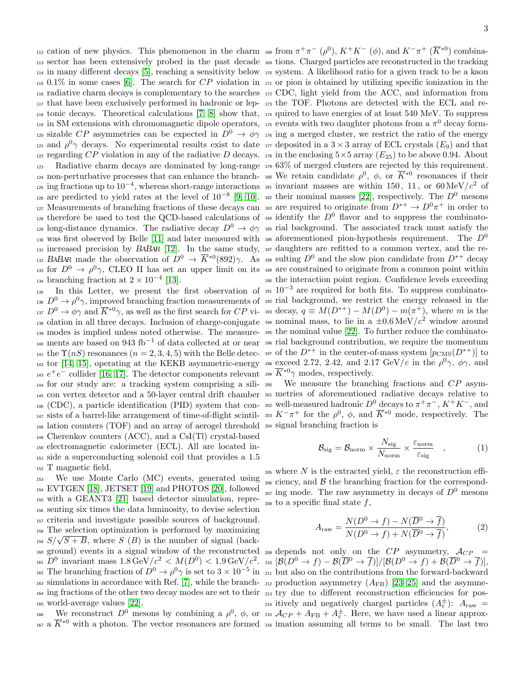<sup>113</sup> sector has been extensively probed in the past decade <sup>169</sup> tions. Charged particles are reconstructed in the tracking <sup>114</sup> in many different decays [\[5\]](#page-7-3), reaching a sensitivity below <sup>170</sup> system. A likelihood ratio for a given track to be a kaon  $115 \t0.1\%$  in some cases [\[6\]](#page-7-4). The search for CP violation in  $171 \t{or}$  pion is obtained by utilizing specific ionization in the <sup>116</sup> radiative charm decays is complementary to the searches <sup>172</sup> CDC, light yield from the ACC, and information from <sup>117</sup> that have been exclusively performed in hadronic or lep-<sup>173</sup> the TOF. Photons are detected with the ECL and re- $\mu_{18}$  tonic decays. Theoretical calculations [\[7,](#page-7-5) [8\]](#page-7-6) show that,  $\mu_4$  quired to have energies of at least 540 MeV. To suppress 119 in SM extensions with chromomagnetic dipole operators, 175 events with two daughter photons from a  $\pi^0$  decay form-<sup>120</sup> sizable CP asymmetries can be expected in  $D^0 \to \phi \gamma$  <sup>176</sup> ing a merged cluster, we restrict the ratio of the energy <sup>121</sup> and  $\rho^0\gamma$  decays. No experimental results exist to date <sup>177</sup> deposited in a 3 × 3 array of ECL crystals ( $E_9$ ) and that <sup>122</sup> regarding CP violation in any of the radiative D decays. <sup>178</sup> in the enclosing  $5\times 5$  array  $(E_{25})$  to be above 0.94. About <sup>123</sup> Radiative charm decays are dominated by long-range <sup>179</sup> 63% of merged clusters are rejected by this requirement. 124 non-perturbative processes that can enhance the branch-180 We retain candidate  $\rho^0$ ,  $\phi$ , or  $\overline{K}^{*0}$  resonances if their  $\mu$ <sub>125</sub> ing fractions up to 10<sup>-4</sup>, whereas short-range interactions  $\mu$ <sub>31</sub> invariant masses are within 150, 11, or 60 MeV/c<sup>2</sup> of <sup>126</sup> are predicted to yield rates at the level of 10<sup>-8</sup> [\[9,](#page-7-7) [10\]](#page-7-8). <sup>182</sup> their nominal masses [\[22\]](#page-7-20), respectively. The  $D^0$  mesons <sup>127</sup> Measurements of branching fractions of these decays can <sup>183</sup> are required to originate from  $D^{*+} \to D^0 \pi^+$  in order to <sup>128</sup> therefore be used to test the QCD-based calculations of <sup>184</sup> identify the  $D^0$  flavor and to suppress the combinato-<sup>129</sup> long-distance dynamics. The radiative decay  $D^0 \to \phi \gamma$  <sup>185</sup> rial background. The associated track must satisfy the <sup>130</sup> was first observed by Belle [\[11\]](#page-7-9) and later measured with <sup>186</sup> aforementioned pion-hypothesis requirement. The  $D^0$ 131 increased precision by BABAR [\[12\]](#page-7-10). In the same study, 187 daughters are refitted to a common vertex, and the re-<sup>132</sup> BABAR made the observation of  $D^0 \to \overline{K}^{*0}(892)\gamma$ . As <sup>188</sup> sulting  $D^0$  and the slow pion candidate from  $D^{*+}$  decay 133 for  $D^0 \to \rho^0 \gamma$ , CLEO II has set an upper limit on its 189 are constrained to originate from a common point within  $_{134}$  branching fraction at  $2 \times 10^{-4}$  [\[13\]](#page-7-11).

<sup>136</sup>  $D^0 \to \rho^0 \gamma$ , improved branching fraction measurements of <sup>192</sup> rial background, we restrict the energy released in the  $\mu_{137} D^0 \to \phi \gamma$  and  $\overline{K}^{*0} \gamma$ , as well as the first search for  $CP$  vi- 193 decay,  $q \equiv M(D^{*+}) - M(D^0) - m(\pi^+)$ , where m is the <sup>138</sup> olation in all three decays. Inclusion of charge-conjugate <sup>194</sup> nominal mass, to lie in a  $\pm 0.6 \,\mathrm{MeV}/c^2$  window around <sup>139</sup> modes is implied unless noted otherwise. The measure-<sup>195</sup> the nominal value [\[22\]](#page-7-20). To further reduce the combinato-<sup>140</sup> ments are based on 943 fb<sup>-1</sup> of data collected at or near <sup>196</sup> rial background contribution, we require the momentum 141 the  $\Upsilon(nS)$  resonances  $(n=2,3,4,5)$  with the Belle detec-197 of the  $D^{*+}$  in the center-of-mass system  $[p_{\text{CMS}}(D^{*+})]$  to 142 tor [\[14,](#page-7-12) [15\]](#page-7-13), operating at the KEKB asymmetric-energy 198 exceed 2.72, 2.42, and 2.17 GeV/c in the  $\rho^0 \gamma$ ,  $\phi \gamma$ , and 143  $e^+e^-$  collider [\[16,](#page-7-14) [17\]](#page-7-15). The detector components relevant 199  $\overline{K}^{*0}\gamma$  modes, respectively.  $_{144}$  for our study are: a tracking system comprising a sili-  $_{200}$  We measure the branching fractions and  $CP$  asym-<sup>145</sup> con vertex detector and a 50-layer central drift chamber <sup>201</sup> metries of aforementioned radiative decays relative to <sup>146</sup> (CDC), a particle identification (PID) system that con- 202 well-measured hadronic  $D^0$  decays to  $\pi^+\pi^-, K^+K^-$ , and 147 sists of a barrel-like arrangement of time-of-flight scintil- 203  $K^-\pi^+$  for the  $\rho^0$ ,  $\phi$ , and  $\overline{K}^{*0}$  mode, respectively. The <sup>148</sup> lation counters (TOF) and an array of aerogel threshold <sup>204</sup> signal branching fraction is <sup>149</sup> Cherenkov counters (ACC), and a CsI(Tl) crystal-based <sup>150</sup> electromagnetic calorimeter (ECL). All are located in-<sup>151</sup> side a superconducting solenoid coil that provides a 1.5 <sup>152</sup> T magnetic field.

 We use Monte Carlo (MC) events, generated using EVTGEN [\[18\]](#page-7-16), JETSET [\[19\]](#page-7-17) and PHOTOS [\[20\]](#page-7-18), followed with a GEANT3 [\[21\]](#page-7-19) based detector simulation, repre- senting six times the data luminosity, to devise selection criteria and investigate possible sources of background. The selection optimization is performed by maximizing <sup>158</sup> The selection optimization is performed by maximizing<br><sup>159</sup>  $S/\sqrt{S+B}$ , where S (B) is the number of signal (back-<sup>160</sup> ground) events in a signal window of the reconstructed  $_{209}$  depends not only on the CP asymmetry,  $\mathcal{A}_{CP}$  =  $D^0$  invariant mass  $1.8\,\text{GeV}/c^2 < M(D^0) < 1.9\,\text{GeV}/c^2$ . 210  $[\mathcal{B}(D^0 \to f) - \mathcal{B}(\overline{D}{}^0 \to \overline{f})]/[\mathcal{B}(D^0 \to f) + \mathcal{B}(\overline{D}{}^0 \to \overline{f})],$ <sup>162</sup> The branching fraction of  $D^0 \to \rho^0 \gamma$  is set to  $3 \times 10^{-5}$  in <sub>211</sub> but also on the contributions from the forward-backward 163 simulations in accordance with Ref. [\[7\]](#page-7-5), while the branch-  $_{212}$  production asymmetry  $(A_{FB})$  [\[23–](#page-7-21)[25\]](#page-7-22) and the asymme- ing fractions of the other two decay modes are set to their <sup>213</sup> try due to different reconstruction efficiencies for pos-world-average values [\[22\]](#page-7-20).

166 We reconstruct  $D^0$  mesons by combining a  $\rho^0$ ,  $\phi$ , or <sup>167 a</sup>  $\overline{K}^{*0}$  with a photon. The vector resonances are formed <sub>216</sub> imation assuming all terms to be small. The last two

<sup>112</sup> cation of new physics. This phenomenon in the charm <sup>168</sup> from  $\pi^+\pi^-$  ( $\rho^0$ ),  $K^+K^-$  ( $\phi$ ), and  $K^-\pi^+$  ( $\overline{K}^{*0}$ ) combina-135 In this Letter, we present the first observation of  $191 \cdot 10^{-3}$  are required for both fits. To suppress combinato-<sup>190</sup> the interaction point region. Confidence levels exceeding

$$
\mathcal{B}_{\text{sig}} = \mathcal{B}_{\text{norm}} \times \frac{N_{\text{sig}}}{N_{\text{norm}}} \times \frac{\varepsilon_{\text{norm}}}{\varepsilon_{\text{sig}}}, \qquad (1)
$$

205 where N is the extracted yield,  $\varepsilon$  the reconstruction effi- $_{206}$  ciency, and  $\beta$  the branching fraction for the correspond- $207$  ing mode. The raw asymmetry in decays of  $D^0$  mesons  $_{208}$  to a specific final state f,

<span id="page-3-0"></span>
$$
A_{\text{raw}} = \frac{N(D^0 \to f) - N(\overline{D}^0 \to \overline{f})}{N(D^0 \to f) + N(\overline{D}^0 \to \overline{f})},\tag{2}
$$

<sup>214</sup> itively and negatively charged particles  $(A_{\varepsilon}^{\pm})$ :  $A_{\text{raw}} =$ <sup>215</sup>  $A_{CP} + A_{FB} + A_{\varepsilon}^{\pm}$ . Here, we have used a linear approx-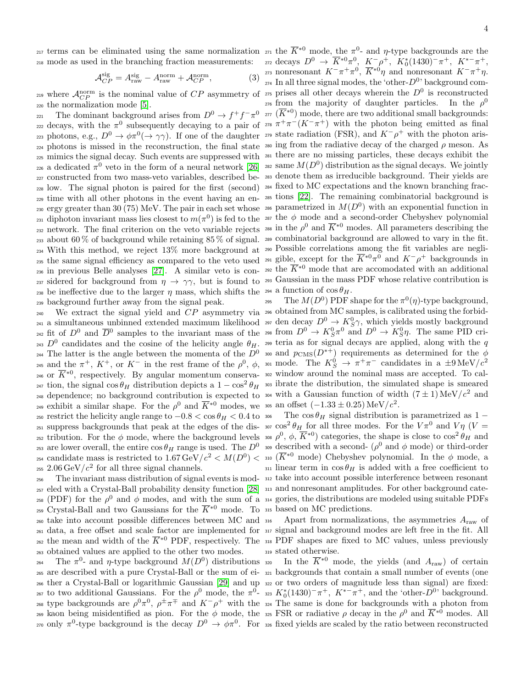<sup>217</sup> terms can be eliminated using the same normalization  $z_7$  the  $\overline{K}^{*0}$  mode, the π<sup>0</sup>- and η-type backgrounds are the <sup>218</sup> mode as used in the branching fraction measurements:

<span id="page-4-0"></span>
$$
\mathcal{A}_{CP}^{\text{sig}} = A_{\text{raw}}^{\text{sig}} - A_{\text{raw}}^{\text{norm}} + \mathcal{A}_{CP}^{\text{norm}},\tag{3}
$$

<sup>220</sup> the normalization mode [\[5\]](#page-7-3).

221 222 decays, with the  $\pi^0$  subsequently decaying to a pair of 278  $\pi^+\pi^-(K^-\pi^+)$  with the photon being emitted as final 223 photons, e.g.,  $D^0 \to \phi \pi^0 (\to \gamma \gamma)$ . If one of the daughter 279 state radiation (FSR), and  $K^-\rho^+$  with the photon aris- $_{224}$  photons is missed in the reconstruction, the final state  $_{280}$  ing from the radiative decay of the charged  $\rho$  meson. As <sup>225</sup> mimics the signal decay. Such events are suppressed with <sup>281</sup> there are no missing particles, these decays exhibit the 226 a dedicated  $\pi^0$  veto in the form of a neural network [\[26\]](#page-7-23) 282 same  $M(D^0)$  distribution as the signal decays. We jointly <sup>227</sup> constructed from two mass-veto variables, described be-<sup>283</sup> denote them as irreducible background. Their yields are <sup>228</sup> low. The signal photon is paired for the first (second) <sup>284</sup> fixed to MC expectations and the known branching frac-<sup>229</sup> time with all other photons in the event having an en-<sup>285</sup> tions [\[22\]](#page-7-20). The remaining combinatorial background is 230 ergy greater than 30 (75) MeV. The pair in each set whose 286 parametrized in  $M(D^0)$  with an exponential function in 231 diphoton invariant mass lies closest to  $m(\pi^0)$  is fed to the 287 the  $\phi$  mode and a second-order Chebyshev polynomial 232 network. The final criterion on the veto variable rejects 288 in the  $\rho^0$  and  $\overline{K}^{*0}$  modes. All parameters describing the 233 about 60% of background while retaining  $85\%$  of signal. 289 combinatorial background are allowed to vary in the fit. <sup>234</sup> With this method, we reject 13% more background at <sup>290</sup> Possible correlations among the fit variables are negli-235 the same signal efficiency as compared to the veto used 291 gible, except for the  $\overline{K}^{*0}\pi^0$  and  $K^-\rho^+$  backgrounds in 236 in previous Belle analyses [\[27\]](#page-7-24). A similar veto is con-292 the  $\overline{K}^{*0}$  mode that are accomodated with an additional 237 sidered for background from  $\eta \to \gamma \gamma$ , but is found to 293 Gaussian in the mass PDF whose relative contribution is 238 be ineffective due to the larger  $\eta$  mass, which shifts the 294 a function of  $\cos \theta_H$ . <sup>239</sup> background further away from the signal peak.

<sup>241</sup> a simultaneous unbinned extended maximum likelihood <sup>297</sup> den decay  $D^0 \to K_S^0 \gamma$ , which yields mostly background <sup>242</sup> fit of  $D^0$  and  $\overline{D}{}^0$  samples to the invariant mass of the <sup>243</sup>  $D^0$  candidates and the cosine of the helicity angle  $\theta_H$ . <sup>244</sup> The latter is the angle between the momenta of the  $D^0$ 245 and the  $\pi^+$ ,  $K^+$ , or  $K^-$  in the rest frame of the  $\rho^0$ ,  $\phi$ , sou mode. The  $K_S^0 \to \pi^+\pi^-$  candidates in a  $\pm 9 \,\text{MeV}/c^2$ 246 or  $\overline{K}^{*0}$ , respectively. By angular momentum conserva- 302 window around the nominal mass are accepted. To cal-<sup>247</sup> tion, the signal  $\cos \theta_H$  distribution depicts a  $1 - \cos^2 \theta_H$  <sup>303</sup> ibrate the distribution, the simulated shape is smeared <sup>248</sup> dependence; no background contribution is expected to <sup>304</sup> with a Gaussian function of width  $(7 \pm 1)$  MeV/ $c^2$  and 249 exhibit a similar shape. For the  $\rho^0$  and  $\overline{K}^{*0}$  modes, we ass an offset  $(-1.33 \pm 0.25) \,\text{MeV}/c^2$ . 250 restrict the helicity angle range to  $-0.8 < \cos \theta_H < 0.4$  to 306 The  $\cos \theta_H$  signal distribution is parametrized as 1 251 suppress backgrounds that peak at the edges of the dis- $\int \cos^2 \theta_H$  for all three modes. For the  $V \pi^0$  and  $V \eta$  ( $V =$ <sup>252</sup> tribution. For the  $\phi$  mode, where the background levels <sup>308</sup>  $\rho^0$ ,  $\phi$ ,  $\overline{K}^{*0}$ ) categories, the shape is close to  $\cos^2 \theta_H$  and 253 are lower overall, the entire  $\cos \theta_H$  range is used. The  $D^0$  309 described with a second-  $(\rho^0$  and  $\phi$  mode) or third-order <sup>254</sup> candidate mass is restricted to  $1.67 \,\text{GeV}/c^2 < M(D^0) < \frac{310}{4}$  ( $\overline{K}^{*0}$  mode) Chebyshev polynomial. In the  $\phi$  mode, a  $_{255}$  2.06 GeV/ $c<sup>2</sup>$  for all three signal channels.

<sup>257</sup> eled with a Crystal-Ball probability density function [\[28\]](#page-7-25) <sup>313</sup> and nonresonant amplitudes. For other background cate-<sup>258</sup> (PDF) for the  $\rho^0$  and  $\phi$  modes, and with the sum of a <sup>314</sup> gories, the distributions are modeled using suitable PDFs 259 Crystal-Ball and two Gaussians for the  $\overline{K}^{*0}$  mode. To 315 based on MC predictions. <sup>260</sup> take into account possible differences between MC and <sup>316</sup> Apart from normalizations, the asymmetries  $A_{\text{raw}}$  of <sup>261</sup> data, a free offset and scale factor are implemented for <sup>317</sup> signal and background modes are left free in the fit. All <sub>262</sub> the mean and width of the  $\overline{K}^{*0}$  PDF, respectively. The 318 PDF shapes are fixed to MC values, unless previously <sup>263</sup> obtained values are applied to the other two modes.

<sup>265</sup> are described with a pure Crystal-Ball or the sum of ei-<sup>321</sup> backgrounds that contain a small number of events (one <sup>266</sup> ther a Crystal-Ball or logarithmic Gaussian [\[29\]](#page-7-26) and up <sup>322</sup> or two orders of magnitude less than signal) are fixed: <sup>267</sup> to two additional Gaussians. For the  $ρ^0$  mode, the  $π^0$ - 323  $K_0^*(1430)^- π^+$ ,  $K^{*-}π^+$ , and the 'other- $D^0$ ' background. <sup>268</sup> type backgrounds are  $\rho^0 \pi^0$ ,  $\rho^{\pm} \pi^{\mp}$  and  $K^-\rho^+$  with the <sub>324</sub> The same is done for backgrounds with a photon from <sup>269</sup> kaon being misidentified as pion. For the φ mode, the <sup>225</sup> FSR or radiative ρ decay in the  $ρ<sup>0</sup>$  and  $\overline{K}^{*0}$  modes. All <sup>270</sup> only  $\pi^0$ -type background is the decay  $D^0 \to \phi \pi^0$ . For <sub>326</sub> fixed yields are scaled by the ratio between reconstructed

<sup>219</sup> where  $\mathcal{A}_{CP}^{\text{norm}}$  is the nominal value of CP asymmetry of <sup>275</sup> prises all other decays wherein the  $D^0$  is reconstructed The dominant background arises from  $D^0 \to f^+f^-\pi^0$  277 ( $\overline{K}^{*0}$ ) mode, there are two additional small backgrounds:  $2z_2$  decays  $D^0$  →  $\overline{K}^{*0}\pi^0$ ,  $K^-$ ρ<sup>+</sup>,  $K_0^*(1430)^-$ π<sup>+</sup>,  $K^{*-}π^+$ , <sup>273</sup> nonresonant  $K^-$ π<sup>+</sup>π<sup>0</sup>,  $\overline{K}$ <sup>∗0</sup>η and nonresonant  $K^-$ π<sup>+</sup>η.  $_{274}$  In all three signal modes, the 'other- $D^{0}$ ' background com-<sup>276</sup> from the majority of daughter particles. In the  $\rho^0$ 

240 We extract the signal yield and  $CP$  asymmetry via 296 obtained from MC samples, is calibrated using the forbid-<sup>295</sup> The  $M(D^0)$  PDF shape for the  $\pi^0(\eta)$ -type background,  $\lim_{\Delta t \to 0} \frac{\text{det}(\mathbf{x})}{\text{det}(\mathbf{x})} \to K^0_S \pi^0$  and  $D^0 \to K^0_S \eta$ . The same PID cri-<sup>299</sup> teria as for signal decays are applied, along with the q <sup>300</sup> and  $p_{\text{CMS}}(D^{*+})$  requirements as determined for the  $\phi$ 

<sup>256</sup> The invariant mass distribution of signal events is mod-<sup>312</sup> take into account possible interference between resonant 311 linear term in  $\cos \theta_H$  is added with a free coefficient to

<sup>319</sup> stated otherwise.

264 The  $\pi^0$ - and  $\eta$ -type background  $M(D^0)$  distributions <sub>320</sub> In the  $\overline{K}^{*0}$  mode, the yields (and  $A_{\text{raw}}$ ) of certain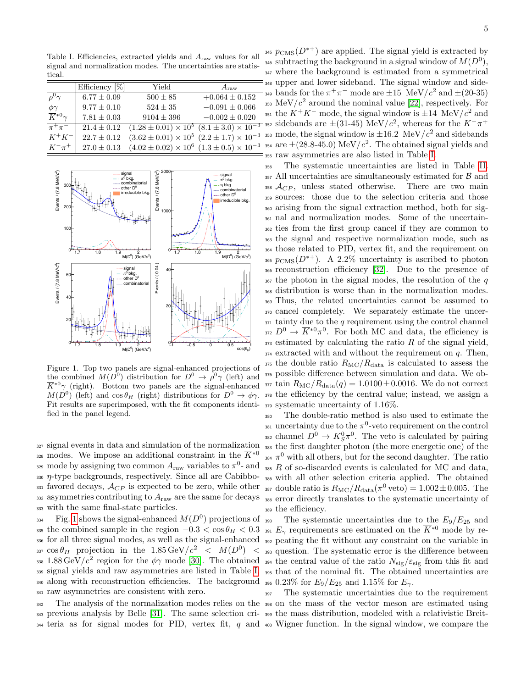<span id="page-5-1"></span>Table I. Efficiencies, extracted yields and Araw values for all signal and normalization modes. The uncertainties are statistical.

|                           | Efficiency $[\%]$ | Yield                                                        | $A_{\rm raw}$      |
|---------------------------|-------------------|--------------------------------------------------------------|--------------------|
| $\rho^0 \gamma$           | $6.77 \pm 0.09$   | $500 \pm 85$                                                 | $+0.064 \pm 0.152$ |
| $\phi\gamma$              | $9.77 \pm 0.10$   | $524 \pm 35$                                                 | $-0.091 \pm 0.066$ |
| $\overline{K}^{*0}\gamma$ | $7.81 \pm 0.03$   | $9104 \pm 396$                                               | $-0.002 \pm 0.020$ |
| $\pi^+\pi^-$              | $21.4 \pm 0.12$   | $(1.28 \pm 0.01) \times 10^5$ $(8.1 \pm 3.0) \times 10^{-3}$ |                    |
| $K^+K^-$                  | $22.7 \pm 0.12$   | $(3.62 \pm 0.01) \times 10^5$ $(2.2 \pm 1.7) \times 10^{-3}$ |                    |
| $K^{-}\pi^{+}$            | $27.0 \pm 0.13$   | $(4.02 \pm 0.02) \times 10^6$ $(1.3 \pm 0.5) \times 10^{-3}$ |                    |



<span id="page-5-0"></span>Figure 1. Top two panels are signal-enhanced projections of the combined  $M(D^0)$  distribution for  $D^0 \to \rho^0 \gamma$  (left) and  $\overline{K}^{*0}\gamma$  (right). Bottom two panels are the signal-enhanced  $M(D^0)$  (left) and  $\cos \theta_H$  (right) distributions for  $D^0 \to \phi \gamma$ . Fit results are superimposed, with the fit components identified in the panel legend.

<sup>327</sup> signal events in data and simulation of the normalization <sup>328</sup> modes. We impose an additional constraint in the  $\overline{K}^{*0}$ <sup>329</sup> mode by assigning two common  $A_{\text{raw}}$  variables to  $\pi^0$ - and  $330 \eta$ -type backgrounds, respectively. Since all are Cabibbo- $331$  favored decays,  $\mathcal{A}_{CP}$  is expected to be zero, while other 332 asymmetries contributing to  $A_{\text{raw}}$  are the same for decays <sup>333</sup> with the same final-state particles.

 $Fig. 1$  $Fig. 1$  shows the signal-enhanced  $M(D^0)$  projections of 335 the combined sample in the region  $-0.3 < \cos \theta_H < 0.3$  solumerally requirements are estimated on the  $\overline{K}^{*0}$  mode by re-<sup>336</sup> for all three signal modes, as well as the signal-enhanced <sup>392</sup> peating the fit without any constraint on the variable in 337  $\cos\theta_H$  projection in the 1.85 GeV/ $c^2$  <  $M(D^0)$  < 393 question. The systematic error is the difference between 338 1.88 GeV/ $c^2$  region for the  $\phi\gamma$  mode [\[30\]](#page-7-27). The obtained <sub>394</sub> the central value of the ratio  $N_{\rm sig}/\varepsilon_{\rm sig}$  from this fit and <sup>339</sup> signal yields and raw asymmetries are listed in Table [I,](#page-5-1) <sup>395</sup> that of the nominal fit. The obtained uncertainties are 340 along with reconstruction efficiencies. The background  $\frac{1}{396}$  0.23% for  $E_9/E_{25}$  and 1.15% for  $E_7$ . <sup>341</sup> raw asymmetries are consistent with zero.

<sup>342</sup> The analysis of the normalization modes relies on the <sup>398</sup> on the mass of the vector meson are estimated using <sup>343</sup> previous analysis by Belle [\[31\]](#page-7-28). The same selection cri-<sup>399</sup> the mass distribution, modeled with a relativistic Breit- $344$  teria as for signal modes for PID, vertex fit, q and  $400$  Wigner function. In the signal window, we compare the

<sup>345</sup>  $p_{\text{CMS}}(D^{*+})$  are applied. The signal yield is extracted by <sup>346</sup> subtracting the background in a signal window of  $M(D^0)$ , <sup>347</sup> where the background is estimated from a symmetrical <sup>348</sup> upper and lower sideband. The signal window and side-<sup>349</sup> bands for the  $\pi^+\pi^-$  mode are  $\pm 15$  MeV/ $c^2$  and  $\pm (20-35)$ 350 MeV/ $c^2$  around the nominal value [\[22\]](#page-7-20), respectively. For <sup>351</sup> the  $K^+K^-$  mode, the signal window is  $\pm 14$  MeV/ $c^2$  and <sup>352</sup> sidebands are  $\pm$ (31-45) MeV/ $c^2$ , whereas for the  $K^-\pi^+$ 353 mode, the signal window is  $\pm 16.2$  MeV/ $c<sup>2</sup>$  and sidebands <sup>354</sup> are  $\pm (28.8 - 45.0)$  MeV/ $c<sup>2</sup>$ . The obtained signal yields and <sup>355</sup> raw asymmetries are also listed in Table [I.](#page-5-1)

 The systematic uncertainties are listed in Table [II.](#page-6-0) All uncertainties are simultaneously estimated for  $\beta$  and  $A_{CP}$ , unless stated otherwise. There are two main sources: those due to the selection criteria and those arising from the signal extraction method, both for sig- nal and normalization modes. Some of the uncertain- ties from the first group cancel if they are common to the signal and respective normalization mode, such as those related to PID, vertex fit, and the requirement on <sup>365</sup>  $p_{\text{CMS}}(D^{*+})$ . A 2.2\% uncertainty is ascribed to photon reconstruction efficiency [\[32\]](#page-7-29). Due to the presence of the photon in the signal modes, the resolution of the q distribution is worse than in the normalization modes. Thus, the related uncertainties cannot be assumed to cancel completely. We separately estimate the uncer- tainty due to the q requirement using the control channel <sup>372</sup>  $D^0 \to \overline{K}^{*0}\pi^0$ . For both MC and data, the efficiency is estimated by calculating the ratio R of the signal yield, extracted with and without the requirement on  $q$ . Then, the double ratio  $R_{\rm MC}/R_{\rm data}$  is calculated to assess the possible difference between simulation and data. We ob- $_{377}$  tain  $R_{\rm MC}/R_{\rm data}(q) = 1.0100 \pm 0.0016$ . We do not correct the efficiency by the central value; instead, we assign a systematic uncertainty of 1.16%.

<sup>380</sup> The double-ratio method is also used to estimate the <sup>381</sup> uncertainty due to the  $\pi^0$ -veto requirement on the control <sup>382</sup> channel  $D^0 \to K_S^0 \pi^0$ . The veto is calculated by pairing <sup>383</sup> the first daughter photon (the more energetic one) of the <sup>384</sup>  $\pi^0$  with all others, but for the second daughter. The ratio  $385 R$  of so-discarded events is calculated for MC and data, <sup>386</sup> with all other selection criteria applied. The obtained <sup>387</sup> double ratio is  $R_{\rm MC}/R_{\rm data}(\pi^0 \,\rm veto) = 1.002 \pm 0.005$ . The <sup>388</sup> error directly translates to the systematic uncertainty of <sup>389</sup> the efficiency.

The systematic uncertainties due to the  $E_9/E_{25}$  and

<sup>397</sup> The systematic uncertainties due to the requirement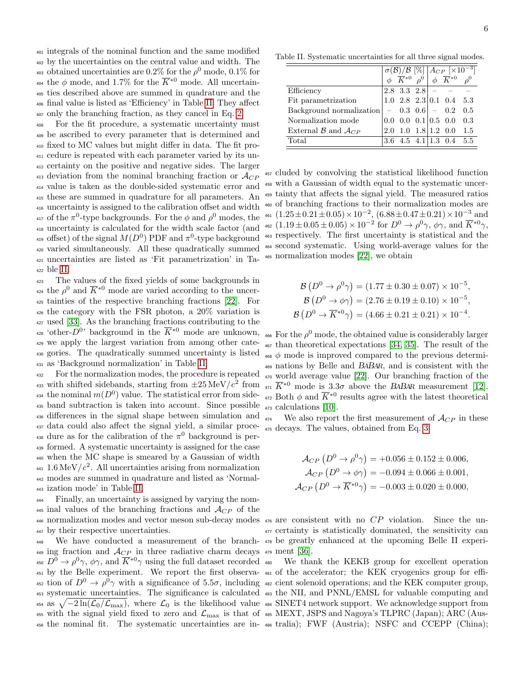integrals of the nominal function and the same modified by the uncertainties on the central value and width. The <sup>403</sup> obtained uncertainties are 0.2% for the  $\rho^0$  mode, 0.1% for <sup>404</sup> the φ mode, and 1.7% for the  $\overline{K}^{*0}$  mode. All uncertain- ties described above are summed in quadrature and the final value is listed as 'Efficiency' in Table [II.](#page-6-0) They affect only the branching fraction, as they cancel in Eq. [2.](#page-3-0)

 For the fit procedure, a systematic uncertainty must be ascribed to every parameter that is determined and fixed to MC values but might differ in data. The fit pro- cedure is repeated with each parameter varied by its un- certainty on the positive and negative sides. The larger 413 deviation from the nominal branching fraction or  $\mathcal{A}_{CP}$  value is taken as the double-sided systematic error and these are summed in quadrature for all parameters. An uncertainty is assigned to the calibration offset and width <sup>417</sup> of the  $\pi^0$ -type backgrounds. For the  $\phi$  and  $\rho^0$  modes, the uncertainty is calculated for the width scale factor (and <sup>419</sup> of the signal  $M(D^0)$  PDF and  $\pi^0$ -type background varied simultaneously. All these quadratically summed uncertainties are listed as 'Fit parametrization' in Ta-<sup>422</sup> ble [II.](#page-6-0)

 The values of the fixed yields of some backgrounds in <sup>424</sup> the  $\rho^0$  and  $\overline{K}^{*0}$  mode are varied according to the uncer- tainties of the respective branching fractions [\[22\]](#page-7-20). For the category with the FSR photon, a 20% variation is used [\[33\]](#page-7-30). As the branching fractions contributing to the <sup>428</sup> 'other- $D^{0}$ ' background in the  $\overline{K}^{*0}$  mode are unknown, we apply the largest variation from among other cate- gories. The quadratically summed uncertainty is listed as 'Background normalization' in Table [II.](#page-6-0)

<sup>432</sup> For the normalization modes, the procedure is repeated 433 with shifted sidebands, starting from  $\pm 25 \,\mathrm{MeV}/c^2$  from <sup>434</sup> the nominal  $m(D^0)$  value. The statistical error from sideband subtraction is taken into account. Since possible <sup>436</sup> differences in the signal shape between simulation and data could also affect the signal yield, a similar proce-<sup>438</sup> dure as for the calibration of the  $\pi^0$  background is per-<sup>439</sup> formed. A systematic uncertainty is assigned for the case <sup>440</sup> when the MC shape is smeared by a Gaussian of width  $^{441}$  1.6 MeV/ $c^2$ . All uncertainties arising from normalization <sup>442</sup> modes are summed in quadrature and listed as 'Normal-<sup>443</sup> ization mode' in Table [II.](#page-6-0)

<sup>444</sup> Finally, an uncertainty is assigned by varying the nom-445 inal values of the branching fractions and  $\mathcal{A}_{CP}$  of the 446 normalization modes and vector meson sub-decay modes  $476$  are consistent with no  $CP$  violation. Since the un-<sup>447</sup> by their respective uncertainties.

 $\mu_{49}$  ing fraction and  $\mathcal{A}_{CP}$  in three radiative charm decays  $\mu_{79}$  ment [\[36\]](#page-7-33). <sup>450</sup>  $D^0 \to \rho^0 \gamma$ ,  $\phi \gamma$ , and  $\overline{K}^{*0} \gamma$  using the full dataset recorded <sup>451</sup> by the Belle experiment. We report the first observa-<sup>481</sup> of the accelerator; the KEK cryogenics group for effi-<sup>452</sup> tion of  $D^0 \to \rho^0 \gamma$  with a significance of 5.5 $\sigma$ , including <sup>482</sup> cient solenoid operations; and the KEK computer group, <sup>453</sup> systematic uncertainties. The significance is calculated <sup>483</sup> the NII, and PNNL/EMSL for valuable computing and  $\frac{454}{454}$  as  $\sqrt{-2\ln(\mathcal{L}_0/\mathcal{L}_{\text{max}})}$ , where  $\mathcal{L}_0$  is the likelihood value  $\frac{454}{454}$  SINET4 network support. We acknowledge support from  $_{455}$  with the signal yield fixed to zero and  $\mathcal{L}_{\rm max}$  is that of  $_{485}$  MEXT, JSPS and Nagoya's TLPRC (Japan); ARC (Aus-

<span id="page-6-0"></span>

|                               |  |                                              |  | $\sigma(\mathcal{B})/\mathcal{B} \stackrel{[\%]}{\otimes} \left[ \begin{matrix} \mathcal{A}_{CP} \end{matrix} \right] \times 10^{-3}$<br>$\phi \stackrel{K^{*0}}{K^{*0}} \rho^0 \stackrel{\phi}{\otimes} \overline{K^{*0}} \rho^0$ |                                      |     |
|-------------------------------|--|----------------------------------------------|--|------------------------------------------------------------------------------------------------------------------------------------------------------------------------------------------------------------------------------------|--------------------------------------|-----|
|                               |  |                                              |  |                                                                                                                                                                                                                                    |                                      |     |
| Efficiency                    |  | 2.8 3.3 2.8                                  |  |                                                                                                                                                                                                                                    |                                      |     |
| Fit parametrization           |  |                                              |  |                                                                                                                                                                                                                                    | $1.0$ $2.8$ $2.3$ $ 0.1$ $0.4$ $5.3$ |     |
| Background normalization      |  | $-$ 0.3 0.6 $-$ 0.2                          |  |                                                                                                                                                                                                                                    |                                      | 0.5 |
| Normalization mode            |  | $0.0 \quad 0.0 \quad 0.1 \mid 0.5 \quad 0.0$ |  |                                                                                                                                                                                                                                    |                                      | 0.3 |
| External $\beta$ and $A_{CP}$ |  | $2.0 \t1.0$                                  |  |                                                                                                                                                                                                                                    | $1.8 1.2\; 0.0$                      | 1.5 |
| Total                         |  | $3.6$ $4.5$ $4.1$   $1.3$ $0.4$              |  |                                                                                                                                                                                                                                    |                                      | 5.5 |

 cluded by convolving the statistical likelihood function with a Gaussian of width equal to the systematic uncer- tainty that affects the signal yield. The measured ratios of branching fractions to their normalization modes are  $_{461}$   $(1.25\pm0.21\pm0.05)\times10^{-2}$ ,  $(6.88\pm0.47\pm0.21)\times10^{-3}$  and <sup>462</sup>  $(1.19 \pm 0.05 \pm 0.05) \times 10^{-2}$  for  $D^0 \rightarrow \rho^0 \gamma$ ,  $\phi \gamma$ , and  $\overline{K}^{*0} \gamma$ , respectively. The first uncertainty is statistical and the second systematic. Using world-average values for the normalization modes [\[22\]](#page-7-20), we obtain

$$
\mathcal{B}(D^0 \to \rho^0 \gamma) = (1.77 \pm 0.30 \pm 0.07) \times 10^{-5},
$$
  
\n
$$
\mathcal{B}(D^0 \to \phi \gamma) = (2.76 \pm 0.19 \pm 0.10) \times 10^{-5},
$$
  
\n
$$
\mathcal{B}(D^0 \to \overline{K}^{*0} \gamma) = (4.66 \pm 0.21 \pm 0.21) \times 10^{-4}.
$$

<sup>466</sup> For the  $\rho^0$  mode, the obtained value is considerably larger <sup>467</sup> than theoretical expectations [\[34,](#page-7-31) [35\]](#page-7-32). The result of the  $468 \phi$  mode is improved compared to the previous determi-<sup>469</sup> nations by Belle and BABAR, and is consistent with the <sup>470</sup> world average value [\[22\]](#page-7-20). Our branching fraction of the  $\overline{K}^{*0}$  mode is 3.3 $\sigma$  above the BABAR measurement [\[12\]](#page-7-10). <sup>472</sup> Both  $\phi$  and  $\overline{K}^{*0}$  results agree with the latest theoretical <sup>473</sup> calculations [\[10\]](#page-7-8).

 $474$  We also report the first measurement of  $\mathcal{A}_{CP}$  in these <sup>475</sup> decays. The values, obtained from Eq. [3:](#page-4-0)

$$
\mathcal{A}_{CP} (D^0 \to \rho^0 \gamma) = +0.056 \pm 0.152 \pm 0.006,
$$
  
\n
$$
\mathcal{A}_{CP} (D^0 \to \phi \gamma) = -0.094 \pm 0.066 \pm 0.001,
$$
  
\n
$$
\mathcal{A}_{CP} (D^0 \to \overline{K}^{*0} \gamma) = -0.003 \pm 0.020 \pm 0.000,
$$

<sup>448</sup> We have conducted a measurement of the branch-<sup>478</sup> be greatly enhanced at the upcoming Belle II experi-<sup>477</sup> certainty is statistically dominated, the sensitivity can

<sup>456</sup> the nominal fit. The systematic uncertainties are in-<sup>486</sup> tralia); FWF (Austria); NSFC and CCEPP (China);We thank the KEKB group for excellent operation